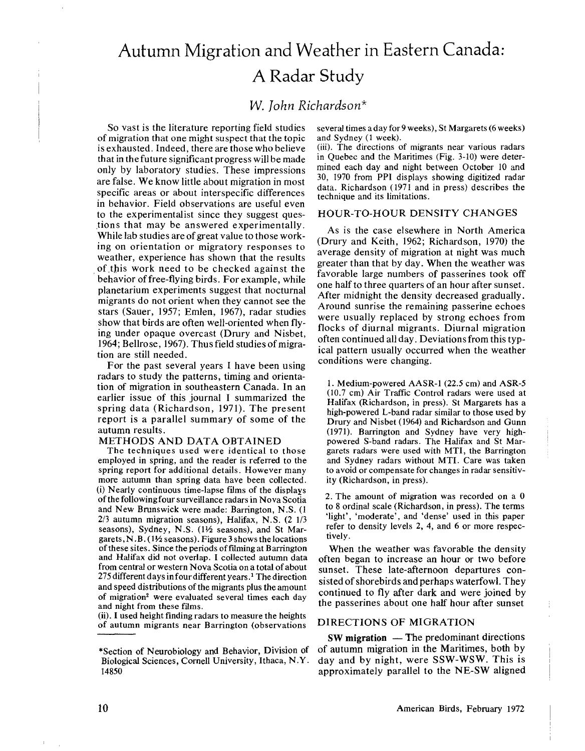# Autumn Migration and Weather in Eastern Canada: A Radar Study

# W. *John Richardson\**

So vast is the literature reporting field studies of migration that one might suspect that the topic is exhausted. Indeed, there are those who believe that in the future significant progress will be made only by laboratory studies. These impressions are false. We know little about migration in most specific areas or about interspecific differences in behavior. Field observations are useful even to the experimentalist since they suggest ques- ,tions that may be answered experimentally. While lab studies are of great value to those working on orientation or migratory responses to weather, experience has shown that the results of this work need to be checked against the behavior of free-flying birds. For example, while planetarium experiments suggest that nocturnal migrants do not orient when they cannot see the stars (Sauer, 1957; Emlen, 1967), radar studies show that birds are often well-oriented when flying under opaque overcast (Drury and Nisbet, 1964; Bellrose, 1967). Thus field studies of migration are still needed.

For the past several years I have been using radars to study the patterns, timing and orientation of migration in southeastern Canada. In an earlier issue of this journal I summarized the spring data (Richardson, 1971). The present report is a parallel summary of some of the autumn results.

#### METHODS AND DATA OBTAINED

The techniques used were identical to those employed in spring, and the reader is referred to the spring report for additional details. However many more autumn than spring data have been collected. (i) Nearly continuous time-lapse films of the displays of the following four surveillance radars in Nova Scotia and New Brunswick were made: Barrington, N.S. (I 2/3 autumn migration seasons), Halifax, N.S. (2 1/3 seasons), Sydney, N.S. (1½ seasons), and St Margarets, N.B.  $(1\frac{1}{2}$  seasons). Figure 3 shows the locations of these sites. Since the periods of filming at Barrington and Halifax did not overlap. I collected autumn data from central or western Nova Scotia on a total of about 275 different days in four different years.<sup>1</sup> The direction and speed distributions of the migrants plus the amount of migration<sup>2</sup> were evaluated several times each day and night from these films.

(ii). I used height finding radars to measure the heights of autumn migrants near Barrington (observations several times adayfor9weeks), St Margarets (6 weeks) and Sydney (1 week).

(iii). The directions of migrants near various radars in Quebec and the Maritimes (Fig. 3-10) were determined each day and night between October 10 and 30, 1970 from PPI displays showing digitized radar data. Richardson (1971 and in press) describes the technique and its limitations.

#### HOUR-TO-HOUR DENSITY CHANGES

As is the case elsewhere in North America (Drury and Keith, 1962; Richardson, 1970) the average density of migration at night was much greater than that by day. When the weather was favorable large numbers of passerines took off one half to three quarters of an hour after sunset. After midnight the density decreased gradually. Around sunrise the remaining passerine echoes were usually replaced by strong echoes from flocks of diurnal migrants. Diurnal migration often continued all day. Deviationsfrom this typical pattern usually occurred when the weather conditions were changing.

1. Medium-powered AASR-l (22.5 em) and ASR-5 (10.7 em) Air Traffic Control radars were used at Halifax (Richardson, in press). St Margarets has a high-powered L-band radar similar to those used by Drury and Nisbet (1964) and Richardson and Gunn (1971). Barrington and Sydney have very highpowered S-band radars. The Halifax and St Margarets radars were used with MTI, the Barrington and Sydney radars without MTI. Care was taken to avoid or compensate for changes in radar sensitivity (Richardson, in press).

2. The amount of migration was recorded on a 0 to 8 ordinal scale (Richardson, in press). The terms 'light', 'moderate', and 'dense' used in this paper refer to density levels 2, 4, and 6 or more respectively.

When the weather was favorable the density often began to increase an hour or two before sunset. These late-afternoon departures consisted of shorebirds and perhaps waterfowl. They continued to fly after dark and were joined by the passerines about one half hour after sunset

## DIRECTIONS OF MIGRATION

 $SW migration$  — The predominant directions of autumn migration in the Maritimes, both by day and by night, were SSW-WSW. This is approximately parallel to the NE-SW aligned

<sup>\*</sup>Section of Neurobiology and Behavior, Division of Biological Sciences, Cornell University, Ithaca, N.Y. 14850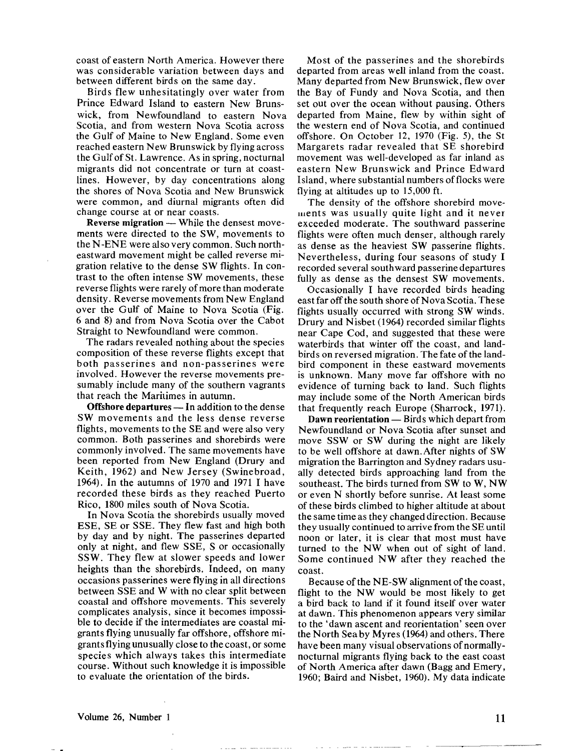coast of eastern North America. However there was considerable variation between days and between different birds on the same day.

Birds flew unhesitatingly over water from Prince Edward Island to eastern New Brunswick, from Newfoundland to eastern Nova Scotia, and from western Nova Scotia across the Gulf of Maine to New England. Some even reached eastern New Brunswick by flying across the Gulf of St. Lawrence. As in spring, nocturnal migrants did not concentrate or turn at coastlines. However, by day concentrations along the shores of Nova Scotia and New Brunswick were common, and diurnal migrants often did change course at or near coasts.

**Reverse migration — While the densest move**ments were directed to the SW, movements to the N-ENE were also very common. Such northeastward movement might be called reverse migration relative to the dense SW flights. In contrast to the often intense SW movements, these reverse flights were rarely of more than moderate density. Reverse movements from New England over the Gulf of Maine to Nova Scotia (Fig. 6 and 8) and from Nova Scotia over the Cabot Straight to Newfoundland were common.

The radars revealed nothing about the species composition of these reverse flights except that both passerines and non-passerines were involved. However the reverse movements presumably include many of the southern vagrants that reach the Maritimes in autumn.

**Offshore departures — In addition to the dense** SW movements and the less dense reverse flights, movements to the SE and were also very common. Both passerines and shorebirds were commonly involved. The same movements have been reported from New England (Drury and Keith, 1962) and New Jersey (Swinebroad, 1964). In the autumns of 1970 and 1971 I have recorded these birds as they reached Puerto Rico, 1800 miles south of Nova Scotia.

In Nova Scotia the shorebirds usually moved ESE, SE or SSE. They flew fast and high both by day and by night. The passerines departed only at night, and flew SSE, S or occasionally SSW. They flew at slower speeds and lower heights than the shorebirds. Indeed, on many occasions passerines were flying in all directions between SSE and W with no clear split between coastal and offshore movements. This severely complicates analysis, since it becomes impossible to decide if the intermediates are coastal migrants flying unusually far offshore, offshore migrantsflying unusually close to the coast, or some species which always takes this intermediate course. Without such knowledge it is impossible to evaluate the orientation of the birds.

Most of the passerines and the shorebirds departed from areas well inland from the coast. Many departed from New Brunswick, flew over the Bay of Fundy and Nova Scotia, and then set out over the ocean without pausing. Others departed from Maine, flew by within sight of the western end of Nova Scotia, and continued offshore. On October 12, 1970 (Fig. 5), the St Margarets radar revealed that SE shorebird movement was well-developed as far inland as eastern New Brunswick and Prince Edward Island, where substantial numbers offlocks were flying at altitudes up to 15,000 ft.

The density of the offshore shorebird movements was usually quite light and it never exceeded moderate. The southward passerine flights were often much denser, although rarely as dense as the heaviest SW passerine flights. Nevertheless, during four seasons of study I recorded several southward passerine departures fully as dense as the densest SW movements.

Occasionally I have recorded birds heading east far off the south shore of Nova Scotia. These flights usually occurred with strong SW winds. Drury and Nisbet (1964) recorded similar flights near Cape Cod, and suggested that these were waterbirds that winter off the coast, and landbirds on reversed migration. The fate of the landbird component in these eastward movements is unknown. Many move far offshore with no evidence of turning back to land. Such flights may include some of the North American birds that frequently reach Europe (Sharrock, 1971).

Dawn reorientation — Birds which depart from Newfoundland or Nova Scotia after sunset and move SSW or SW during the night are likely to be well offshore at dawn. After nights of SW migration the Barrington and Sydney radars usually detected birds approaching land from the southeast. The birds turned from SW to W, NW or even N shortly before sunrise. At least some of these birds climbed to higher altitude at about the same time as they changed direction. Because they usually continued to arrive from the SE until noon or later, it is clear that most must have turned to the NW when out of sight of land. Some continued NW after they reached the coast.

Because of the NE-SW alignment of the coast, flight to the NW would be most likely to get a bird back to land if it found itself over water at dawn. This phenomenon appears very similar to the 'dawn ascent and reorientation' seen over the North Sea by Myres (1964) and others. There have been many visual observations of normallynocturnal migrants flying back to the east coast of North America after dawn (Bagg and Emery, 1960; Baird and Nisbet, 1960). My data indicate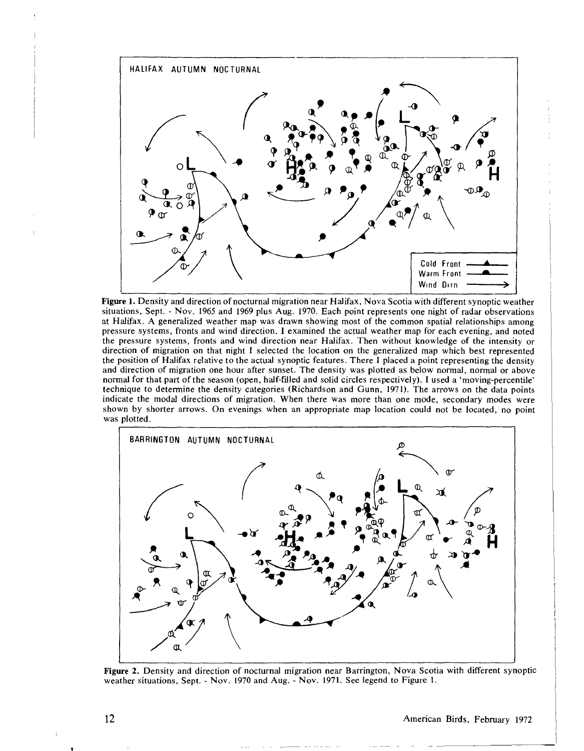

Figure 1. Density and direction of nocturnal migration near Halifax, Nova Scotia with different synoptic weather situations, Sept. - Nov. 1965 and 1969 plus Aug. 1970. Each point represents one night of radar observations at Halifax. A generalized weather map was drawn showing most of the common spatial relationships among pressure systems, fronts and wind direction. I examined the actual weather map for each evening, and noted the pressure systems, fronts and wind direction near Halifax. Then without knowledge of the intensity or direction of migration on that night I selected the location on the generalized map which best represented the position of Halifax relative to the actual synoptic features. There I placed a point representing the density and direction of migration one hour after sunset. The density was plotted as below normal, normal or above normal for that part of the season (open, half-fIlled and solid circles respectively). I used a 'moving-percentile' technique to determine the density categories (Richardson and Gunn, 1971). The arrows on the data points indicate the modal directions of migration. When there was more than one mode, secondary modes were shown by shorter arrows. On evenings when an appropriate map location could not be located, no point was plotted.



Figure 2. Density and direction of nocturnal migration near Barrington, Nova Scotia with different synoptic weather situations, Sept. - Nov. 1970 and Aug. - Nov. 1971. See legend to Figure I.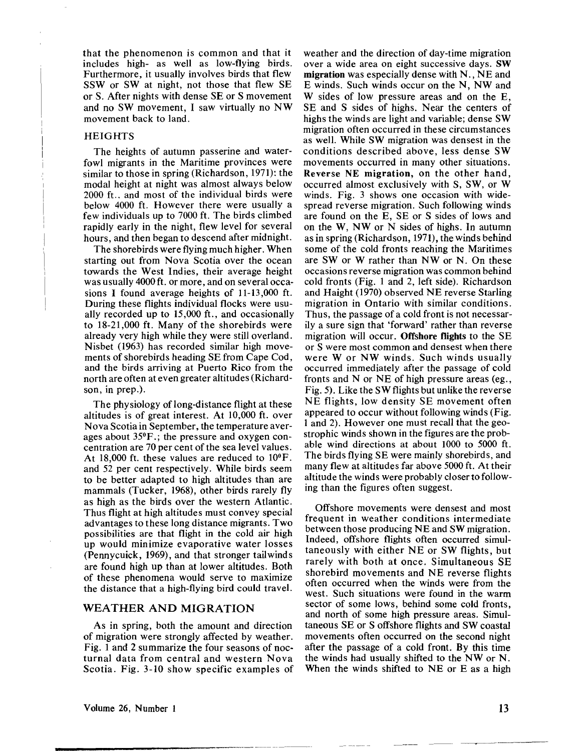that the phenomenon is common and that it includes high- as well as low-flying birds. Furthermore, it usually involves birds that flew SSW or SWat night, not those that flew SE or S. After nights with dense SE or S movement and no SW movement, I saw virtuaIly no NW movement back to land.

#### **HEIGHTS**

The heights of autumn passerine and waterfowl migrants in the Maritime provinces were similar to those in spring (Richardson, 1971): the modal height at night was almost always below 2000 ft.. and most of the individual birds were below 4000 ft. However there were usually a few individuals up to 7000 ft. The birds climbed rapidly early in the night, flew level for several hours, and then began to descend after midnight.

The shorebirds were flying much higher. When starting out from Nova Scotia over the ocean towards the West Indies, their average height was usually 4000 ft. or more, and on several occasions I found average heights of 11-13 ,000 ft. During these flights individual flocks were usually recorded up to 15,000 ft., and occasionally to 18-21,000 ft. Many of the shorebirds were already very high while they were still overland. Nisbet (1963) has recorded similar high movements of shorebirds heading SE from Cape Cod, and the birds arriving at Puerto Rico from the north are often at even greater altitudes (Richardson, in prep.).

The physiology of long-distance flight at these altitudes is of great interest. At 10,000 ft. over Nova Scotia in September, the temperature averages about 35°F.; the pressure and oxygen concentration are 70 per cent of the sea level values. At 18,000 ft. these values are reduced to 10°F. and 52 per cent respectively. While birds seem to be better adapted to high altitudes than are mammals (Tucker, 1968), other birds rarely fly as high as the birds over the western Atlantic. Thus flight at high altitudes must convey special advantages to these long distance migrants. Two possibilities are that flight in the cold air high up would minimize evaporative water losses (Pennycuick, 1969), and that stronger tailwinds are found high up than at lower altitudes. Both of these phenomena would serve to maximize the distance that a high-flying bird could travel.

# WEATHER AND MIGRATION

As in spring, both the amount and direction of migration were strongly affected by weather. Fig. 1 and 2 summarize the four seasons of nocturnal data from central and western Nova Scotia. Fig. 3-10 show specific examples of weather and the direction of day-time migration over a wide area on eight successive days. SW migration was especially dense with N., NE and E winds. Such winds occur on the N, NW and W sides of low pressure areas and on the E, SE and S sides of highs. Near the centers of highs the winds are light and variable; dense SW migration often occurred in these circumstances as well. While SW migration was densest in the conditions described above, less dense SW movements occurred in many other situations. Reverse NE migration, on the other hand, occurred almost exclusively with S, SW, or W winds. Fig. 3 shows one occasion with widespread reverse migration. Such following winds are found on the E, SE or S sides of lows and on the W, NW or N sides of highs. In autumn as in spring (Richardson, 1971), the winds behind some of the cold fronts reaching the Maritimes are SW or W rather than NW or N. On these occasions reverse migration was common behind cold fronts (Fig. 1 and 2, left side). Richardson and Haight (1970) observed NE reverse Starling migration in Ontario with similar conditions. Thus, the passage of a cold front is not necessarily a sure sign that 'forward' rather than reverse migration will occur. Offshore flights to the SE or S were most common and densest when there were W or NW winds. Such winds usually occurred immediately after the passage of cold fronts and N or NE of high pressure areas (eg., Fig. 5). Like the SW flights but unlike the reverse NE flights, low density SE movement often appeared to occur without following winds (Fig. 1 and 2). However one must recall that the geostrophic winds shown in the figures are the probable wind directions at about 1000 to 5000 ft. The birds flying SE were mainly shorebirds, and many flew at altitudes far above 5000 ft. At their altitude the winds were probably closer to following than the figures often suggest.

Offshore movements were densest and most frequent in weather conditions intermediate between those producing NE and SW migration. Indeed, offshore flights often occurred simultaneously with either NE or SW flights, but rarely with both at once. Simultaneous SE shorebird movements and NE reverse flights often occurred when the winds were from the west. Such situations were found in the warm sector of some lows, behind some cold fronts, and north of some high pressure areas. Simultaneous SE or S offshore flights and SW coastal movements often occurred on the second night after the passage of a cold front. By this time the winds had usually shifted to the NW or N. When the winds shifted to NE or E as a high

~-'-----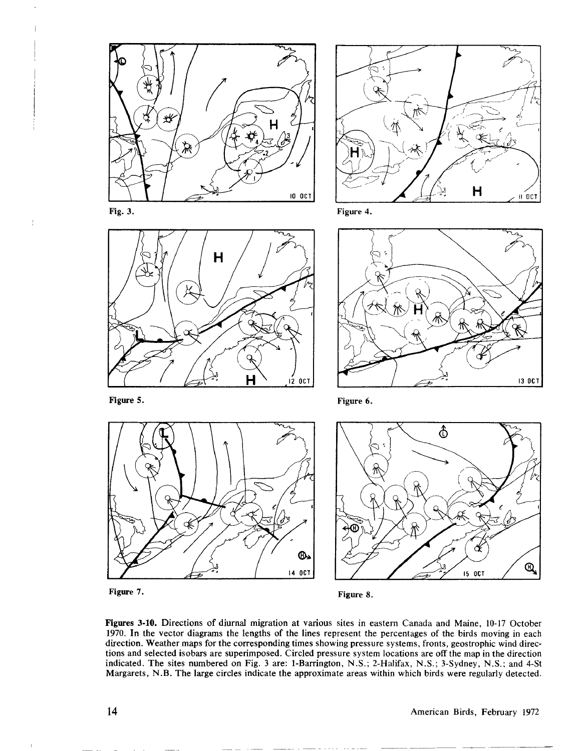

Figure 7.

 $\frac{1}{2}$ 

Figure 8.

Figures 3·10. Directions of diurnal migration at various sites in eastern Canada and Maine, 10-17 October 1970. In the vector diagrams the lengths of the lines represent the percentages of the birds moving in each direction. Weather maps for the corresponding times showing pressure systems, fronts, geostrophic wind directions and selected isobars are superimposed. Circled pressure system locations are off the map in the direction indicated. The sites numbered on Fig. 3 are: I-Barrington, N.S.; 2-Halifax, N.S.; 3-Sydney, N.S.; and 4-St Margarets, N .B. The large circles indicate the approximate areas within which birds were regularly detected.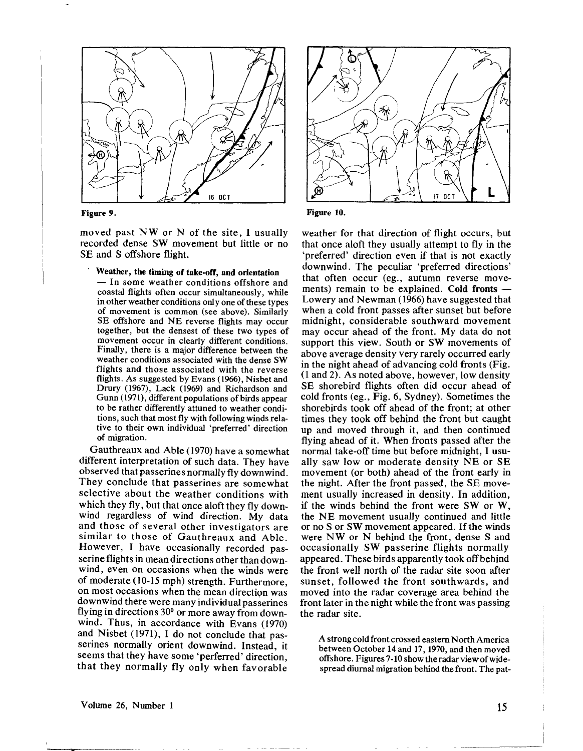

#### Figure 9.

moved past NW or N of the site, I usually recorded dense SW movement but little or no SE and S offshore flight.

Weather, the timing of take-off, and orientation

 $-$  In some weather conditions offshore and coastal flights often occur simultaneously, while in other weather conditions only one of these types of movement is common (see above). Similarly SE offshore and NE reverse flights may occur together, but the densest of these two types of movement occur in clearly different conditions. Finally, there is a major difference between the weather conditions associated with the dense SW flights and those associated with the reverse flights. As suggested by Evans (1966), Nisbet and Drury (1967), Lack (1969) and Richardson and Gunn (1971), different populations of birds appear to be rather differently attuned to weather conditions, such that most fly with following winds relative to their own individual 'preferred' direction of migration.

Gauthreaux and Able (1970) have a somewhat different interpretation of such data. They have observed that passerines normally fly downwind. They conclude that passerines are somewhat selective about the weather conditions with which they fly, but that once aloft they fly downwind regardless of wind direction. My data and those of several other investigators are similar to those of Gauthreaux and Able. However, I have occasionally recorded passerine flights in mean directions other than downwind, even on occasions when the winds were of moderate (10-15 mph) strength. Furthermore, on most occasions when the mean direction was downwind there were many individual passerines flying in directions 30° or more away from downwind. Thus, in accordance with Evans (1970) and Nisbet (1971), I do not conclude that passerines normally orient downwind. Instead, it seems that they have some 'perferred' direction, that they normally fly only when favorable



Figure 10.

weather for that direction of flight occurs, but that once aloft they usually attempt to fly in the 'preferred' direction even if that is not exactly downwind. The peculiar 'preferred directions' that often occur (eg., autumn reverse movements) remain to be explained. Cold fronts - Lowery and Newman (1966) have suggested that when a cold front passes after sunset but before midnight, considerable southward movement may occur ahead of the front. My data do not support this view. South or SW movements of above average density very rarely occurred early in the night ahead of advancing cold fronts (Fig. (1 and 2). As noted above, however, low density SE shorebird flights often did occur ahead of cold fronts (eg., Fig. 6, Sydney). Sometimes the shorebirds took off ahead of the front; at other times they took off behind the front but caught up and moved through it, and then continued flying ahead of it. When fronts passed after the normal take-off time but before midnight, I usually saw low or moderate density NE or SE movement (or both) ahead of the front early in the night. After the front passed, the SE movement usually increased in density. In addition, if the winds behind the front were SW or W, the NE movement usually continued and little or no S or SW movement appeared. If the winds were NW or N behind the front, dense S and occasionally SW passerine flights normally appeared. These birds apparently took off behind the front well north of the radar site soon after sunset, followed the front southwards, and moved into the radar coverage area behind the front later in the night while the front was passing the radar site.

A strong cold front crossed eastern North America between October 14 and 17, 1970, and then moved offshore. Figures 7-10 show the radar viewofwidespread diurnal migration behind the front. The pat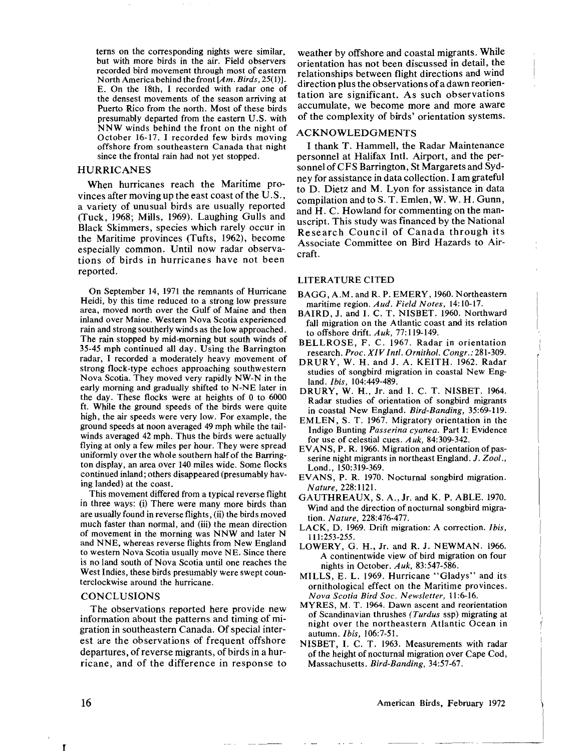terns on the corresponding nights were similar, but with more birds in the air. Field observers recorded bird movement through most of eastern North America behind the front *[A* m. *Birds,* 25(1)). E. On the 18th, I recorded with radar one of the densest movements of the season arriving at Puerto Rico from the north. Most of these birds presumably departed from the eastern U.S. with NNW winds behind the front on the night of October 16-17. I recorded few birds moving offshore from southeastern Canada that night since the frontal rain had not yet stopped.

#### HURRICANES

When hurricanes reach the Maritime provinces after moving up the east coast of the  $U.S.,$ a variety of unusual birds are usually reported (Tuck, 1968; Mills, 1969). Laughing Gulls and Black Skimmers, species which rarely occur in the Maritime provinces (Tufts, 1962), become especially common. Until now radar observations of birds in hurricanes have not been reported.

On September 14, 1971 the remnants of Hurricane Heidi, by this time reduced to a strong low pressure area, moved north over the Gulf of Maine and then inland over Maine. Western Nova Scotia experienced rain and strong southerly winds as the low approached. The rain stopped by mid-morning but south winds of 35-45 mph continued all day. Using the Barrington radar, I recorded a moderately heavy movement of strong flock-type echoes approaching southwestern Nova Scotia. They moved very rapidly NW-N in the early morning and gradually shifted to N-NE later in the day. These flocks were at heights of 0 to 6000 ft. While the ground speeds of the birds were quite high, the air speeds were very low. For example, the ground speeds at noon averaged 49 mph while the tailwinds averaged 42 mph. Thus the birds were actually flying at only a few miles per hour. They were spread uniformly over the whole southern halfof the Barrington display, an area over 140 miles wide. Some flocks continued inland; others disappeared (presumably having landed) at the coast.

This movement differed from a typical reverse flight in three ways: (i) There were many more birds than are usually found in reverse flights, (ii) the birds moved much faster than normal, and (iii) the mean direction of movement in the morning was NNW and later N and NNE, whereas reverse flights from New England to western Nova Scotia usually move NE. Since there is no land south of Nova Scotia until one reaches the West Indies, these birds presumably were swept counterclockwise around the hurricane.

### **CONCLUSIONS**

The observations reported here provide new information about the patterns and timing of migration in southeastern Canada. Of special interest are the observations of frequent offshore departures, of reverse migrants, of birds in a hurricane, and of the difference in response to

weather by offshore and coastal migrants. While orientation has not been discussed in detail, the relationships between flight directions and wind direction plus the observations of a dawn reorientation are significant. As such observations accumulate, we become more and more aware of the complexity of birds' orientation systems.

#### ACKNOWLEDGMENTS

I thank T. Hammell, the Radar Maintenance personnel at Halifax Inti. Airport, and the personnel ofCFS Barrington, St Margarets and Sydney for assistance in data collection. I am grateful to D. Dietz and M. Lyon for assistance in data compilation and to S. T. Emlen, W. W. H. Gunn, and H. C. Howland for commenting on the manuscript. This study was financed by the National Research Council of Canada through its Associate Committee on Bird Hazards to Aircraft.

#### LITERATURE CITED

- BAGG, A.M. and R. P. EMERY, 1960. Northeastern maritime region. *Aud. Field Notes,* 14:10-17.
- BAIRD, J. and I. C. T. NISBET. 1960. Northward fall migration on the Atlantic coast and its relation to offshore drift. *Auk,* 77: 119-149.
- BELLROSE, F. C. 1967. Radar in orientation research. *Proc. XIV Inti. Ornithol. Congr.:* 281-309.
- DRURY, W. H. and J. A. KEITH. 1962. Radar studies of songbird migration in coastal New England. *Ibis,* 104:449-489.
- DRURY, W. H., Jr. and I. C. T. NISBET. 1964. Radar studies of orientation of songbird migrants in coastal New England. *Bird-Banding,* 35:69-119.
- EMLEN, S. T. 1967. Migratory orientation in the Indigo Bunting *Passerina cyanea.* Part I: Evidence for use of celestial cues. *Auk,* 84:309-342.
- EVANS, P. R. 1966. Migration and orientation of passerine night migrants in northeast England. J. *Zool.,* Lond., 150:319-369.
- EVANS, P. R. 1970. Nocturnal songbird migration. *Nature,* 228:1121.
- GAUTHREAUX, S. A., Jr. and K. P. ABLE. 1970. Wind and the direction of nocturnal songbird migration. *Nature,* 228:476-477.
- LACK, D. 1969. Drift migration: A correction. *Ibis,* 111:253-255.
- LOWERY, G. H., Jr. and R. J. NEWMAN. 1966. A continentwide view of bird migration on four nights in October. *Auk,* 83:547-586.
- MILLS, E. L. 1969. Hurricane "Gladys" and its ornithological effect on the Maritime provinces. *Nova Scotia Bird Soc. Newsletter,* 11:6-16.
- MYRES, M. T. 1964. Dawn ascent and reorientation of Scandinavian thrushes *(Turdus* ssp) migrating at night over the northeastern Atlantic Ocean in autumn. *Ibis,* 106:7-51.
- NISBET, I. C. T. 1963. Measurements with radar of the height of nocturnal migration over Cape Cod, Massachusetts. *Bird-Banding,* 34:57-67.

#### American Birds, February 1972

~---~-- ----

r